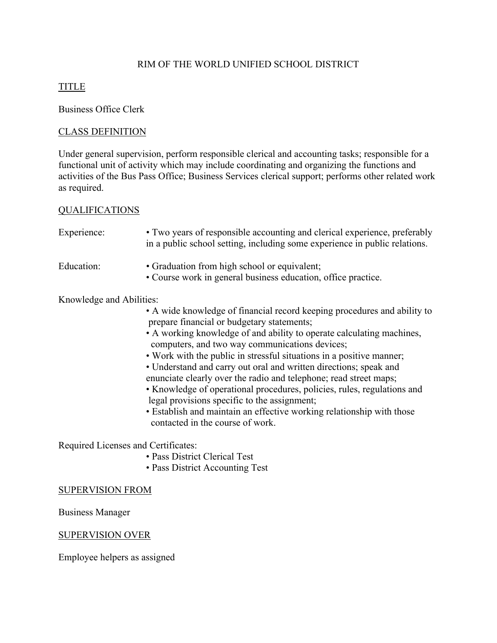# RIM OF THE WORLD UNIFIED SCHOOL DISTRICT

# TITLE

Business Office Clerk

## CLASS DEFINITION

Under general supervision, perform responsible clerical and accounting tasks; responsible for a functional unit of activity which may include coordinating and organizing the functions and activities of the Bus Pass Office; Business Services clerical support; performs other related work as required.

#### QUALIFICATIONS

| Experience:              | • Two years of responsible accounting and clerical experience, preferably<br>in a public school setting, including some experience in public relations. |
|--------------------------|---------------------------------------------------------------------------------------------------------------------------------------------------------|
| Education:               | • Graduation from high school or equivalent;<br>• Course work in general business education, office practice.                                           |
| Knowledge and Abilities: |                                                                                                                                                         |
|                          | • A wide knowledge of financial record keeping procedures and ability to<br>prepare financial or budgetary statements;                                  |
|                          | • A working knowledge of and ability to operate calculating machines,<br>computers, and two way communications devices;                                 |
|                          | • Work with the public in stressful situations in a positive manner;                                                                                    |
|                          | • Understand and carry out oral and written directions; speak and                                                                                       |
|                          | enunciate clearly over the radio and telephone; read street maps;                                                                                       |
|                          | • Knowledge of operational procedures, policies, rules, regulations and                                                                                 |
|                          |                                                                                                                                                         |

- legal provisions specific to the assignment;
- Establish and maintain an effective working relationship with those contacted in the course of work.

Required Licenses and Certificates:

- Pass District Clerical Test
- Pass District Accounting Test

#### SUPERVISION FROM

Business Manager

#### SUPERVISION OVER

Employee helpers as assigned